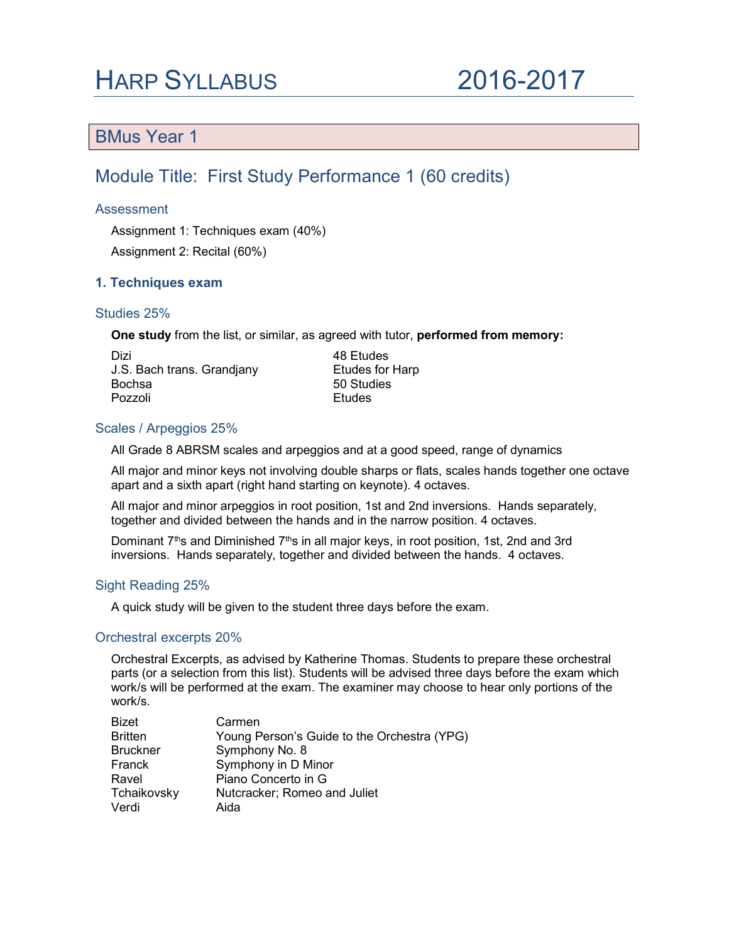## HARP SYLLABUS 2016-2017

### BMus Year 1

### Module Title: First Study Performance 1 (60 credits)

#### **Assessment**

Assignment 1: Techniques exam (40%) Assignment 2: Recital (60%)

#### 1. Techniques exam

#### Studies 25%

One study from the list, or similar, as agreed with tutor, performed from memory:

Dizi 48 Etudes J.S. Bach trans. Grandjany Etudes for Harp Pozzoli **Etudes** 

50 Studies

#### Scales / Arpeggios 25%

All Grade 8 ABRSM scales and arpeggios and at a good speed, range of dynamics

All major and minor keys not involving double sharps or flats, scales hands together one octave apart and a sixth apart (right hand starting on keynote). 4 octaves.

All major and minor arpeggios in root position, 1st and 2nd inversions. Hands separately, together and divided between the hands and in the narrow position. 4 octaves.

Dominant  $7<sup>th</sup>$ s and Diminished  $7<sup>th</sup>$ s in all major keys, in root position, 1st, 2nd and 3rd inversions. Hands separately, together and divided between the hands. 4 octaves.

#### Sight Reading 25%

A quick study will be given to the student three days before the exam.

#### Orchestral excerpts 20%

Orchestral Excerpts, as advised by Katherine Thomas. Students to prepare these orchestral parts (or a selection from this list). Students will be advised three days before the exam which work/s will be performed at the exam. The examiner may choose to hear only portions of the work/s.

| <b>Bizet</b>    | Carmen                                      |
|-----------------|---------------------------------------------|
| <b>Britten</b>  | Young Person's Guide to the Orchestra (YPG) |
| <b>Bruckner</b> | Symphony No. 8                              |
| Franck          | Symphony in D Minor                         |
| Ravel           | Piano Concerto in G                         |
| Tchaikovsky     | Nutcracker; Romeo and Juliet                |
| Verdi           | Aida                                        |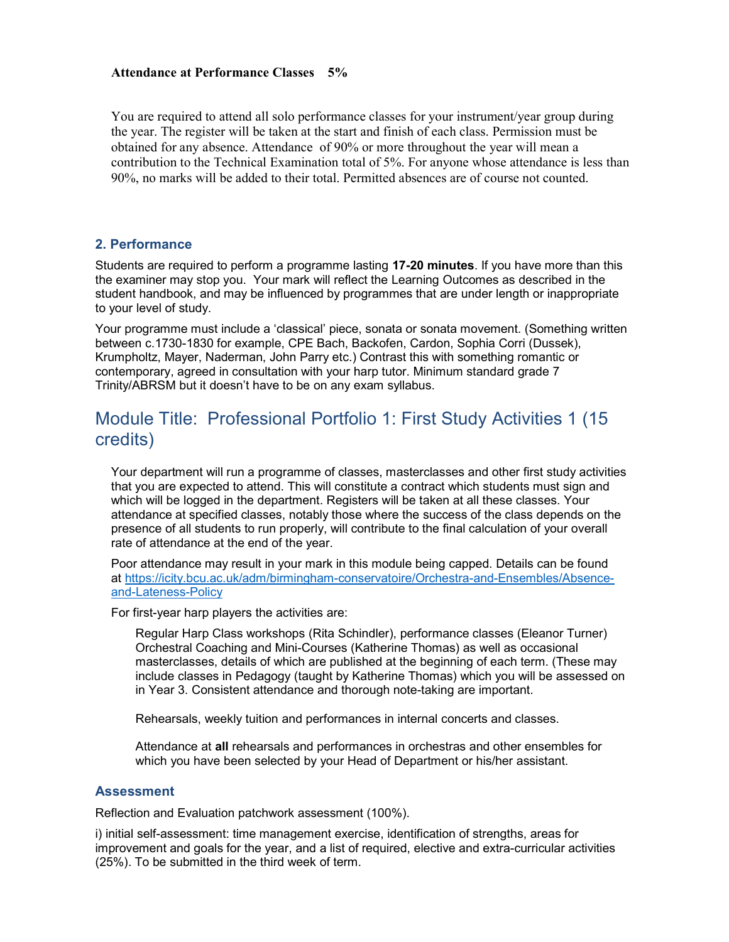#### Attendance at Performance Classes 5%

You are required to attend all solo performance classes for your instrument/year group during the year. The register will be taken at the start and finish of each class. Permission must be obtained for any absence. Attendance of 90% or more throughout the year will mean a contribution to the Technical Examination total of 5%. For anyone whose attendance is less than 90%, no marks will be added to their total. Permitted absences are of course not counted.

#### 2. Performance

Students are required to perform a programme lasting 17-20 minutes. If you have more than this the examiner may stop you. Your mark will reflect the Learning Outcomes as described in the student handbook, and may be influenced by programmes that are under length or inappropriate to your level of study.

Your programme must include a 'classical' piece, sonata or sonata movement. (Something written between c.1730-1830 for example, CPE Bach, Backofen, Cardon, Sophia Corri (Dussek), Krumpholtz, Mayer, Naderman, John Parry etc.) Contrast this with something romantic or contemporary, agreed in consultation with your harp tutor. Minimum standard grade 7 Trinity/ABRSM but it doesn't have to be on any exam syllabus.

### Module Title: Professional Portfolio 1: First Study Activities 1 (15 credits)

Your department will run a programme of classes, masterclasses and other first study activities that you are expected to attend. This will constitute a contract which students must sign and which will be logged in the department. Registers will be taken at all these classes. Your attendance at specified classes, notably those where the success of the class depends on the presence of all students to run properly, will contribute to the final calculation of your overall rate of attendance at the end of the year.

Poor attendance may result in your mark in this module being capped. Details can be found at https://icity.bcu.ac.uk/adm/birmingham-conservatoire/Orchestra-and-Ensembles/Absenceand-Lateness-Policy

For first-year harp players the activities are:

Regular Harp Class workshops (Rita Schindler), performance classes (Eleanor Turner) Orchestral Coaching and Mini-Courses (Katherine Thomas) as well as occasional masterclasses, details of which are published at the beginning of each term. (These may include classes in Pedagogy (taught by Katherine Thomas) which you will be assessed on in Year 3. Consistent attendance and thorough note-taking are important.

Rehearsals, weekly tuition and performances in internal concerts and classes.

Attendance at all rehearsals and performances in orchestras and other ensembles for which you have been selected by your Head of Department or his/her assistant.

#### **Assessment**

Reflection and Evaluation patchwork assessment (100%).

i) initial self-assessment: time management exercise, identification of strengths, areas for improvement and goals for the year, and a list of required, elective and extra-curricular activities (25%). To be submitted in the third week of term.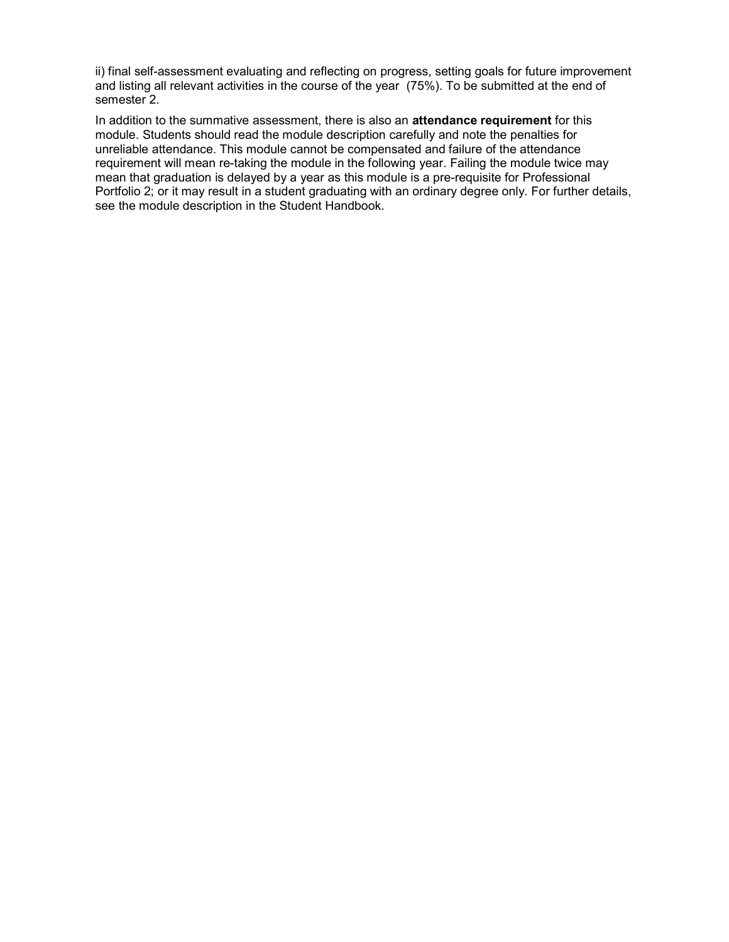ii) final self-assessment evaluating and reflecting on progress, setting goals for future improvement and listing all relevant activities in the course of the year (75%). To be submitted at the end of semester 2.

In addition to the summative assessment, there is also an attendance requirement for this module. Students should read the module description carefully and note the penalties for unreliable attendance. This module cannot be compensated and failure of the attendance requirement will mean re-taking the module in the following year. Failing the module twice may mean that graduation is delayed by a year as this module is a pre-requisite for Professional Portfolio 2; or it may result in a student graduating with an ordinary degree only. For further details, see the module description in the Student Handbook.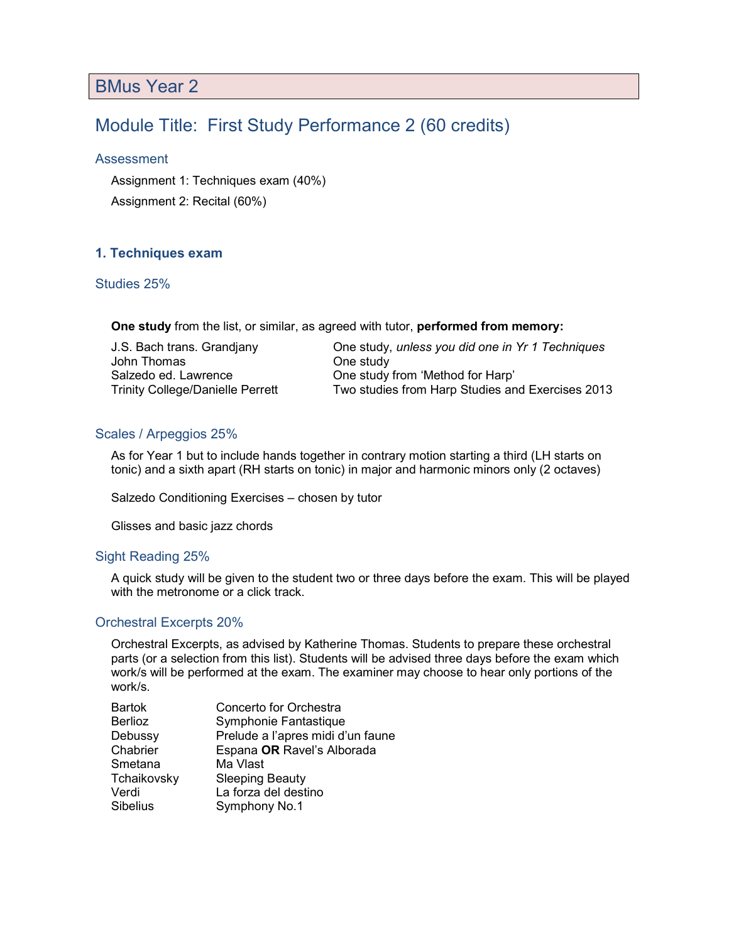## BMus Year 2

### Module Title: First Study Performance 2 (60 credits)

#### Assessment

Assignment 1: Techniques exam (40%)

Assignment 2: Recital (60%)

#### 1. Techniques exam

#### Studies 25%

One study from the list, or similar, as agreed with tutor, performed from memory:

| J.S. Bach trans. Grandiany              | One study, |
|-----------------------------------------|------------|
| John Thomas                             | One study  |
| Salzedo ed. Lawrence                    | One study: |
| <b>Trinity College/Danielle Perrett</b> | Two studie |

y, unless you did one in Yr 1 Techniques y from 'Method for Harp' Ies from Harp Studies and Exercises 2013

#### Scales / Arpeggios 25%

As for Year 1 but to include hands together in contrary motion starting a third (LH starts on tonic) and a sixth apart (RH starts on tonic) in major and harmonic minors only (2 octaves)

Salzedo Conditioning Exercises – chosen by tutor

Glisses and basic jazz chords

#### Sight Reading 25%

A quick study will be given to the student two or three days before the exam. This will be played with the metronome or a click track.

#### Orchestral Excerpts 20%

Orchestral Excerpts, as advised by Katherine Thomas. Students to prepare these orchestral parts (or a selection from this list). Students will be advised three days before the exam which work/s will be performed at the exam. The examiner may choose to hear only portions of the work/s.

| Concerto for Orchestra            |
|-----------------------------------|
| Symphonie Fantastique             |
| Prelude a l'apres midi d'un faune |
| Espana OR Ravel's Alborada        |
| Ma Vlast                          |
| <b>Sleeping Beauty</b>            |
| La forza del destino              |
| Symphony No.1                     |
|                                   |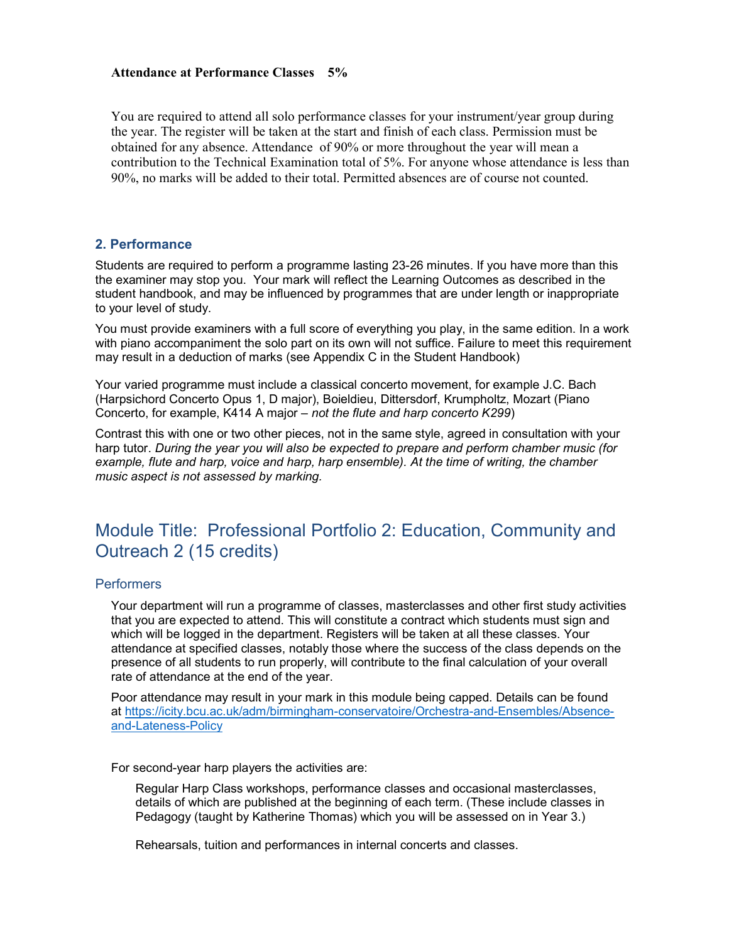#### Attendance at Performance Classes 5%

You are required to attend all solo performance classes for your instrument/year group during the year. The register will be taken at the start and finish of each class. Permission must be obtained for any absence. Attendance of 90% or more throughout the year will mean a contribution to the Technical Examination total of 5%. For anyone whose attendance is less than 90%, no marks will be added to their total. Permitted absences are of course not counted.

#### 2. Performance

Students are required to perform a programme lasting 23-26 minutes. If you have more than this the examiner may stop you. Your mark will reflect the Learning Outcomes as described in the student handbook, and may be influenced by programmes that are under length or inappropriate to your level of study.

You must provide examiners with a full score of everything you play, in the same edition. In a work with piano accompaniment the solo part on its own will not suffice. Failure to meet this requirement may result in a deduction of marks (see Appendix C in the Student Handbook)

Your varied programme must include a classical concerto movement, for example J.C. Bach (Harpsichord Concerto Opus 1, D major), Boieldieu, Dittersdorf, Krumpholtz, Mozart (Piano Concerto, for example, K414 A major – not the flute and harp concerto K299)

Contrast this with one or two other pieces, not in the same style, agreed in consultation with your harp tutor. During the year you will also be expected to prepare and perform chamber music (for example, flute and harp, voice and harp, harp ensemble). At the time of writing, the chamber music aspect is not assessed by marking.

### Module Title: Professional Portfolio 2: Education, Community and Outreach 2 (15 credits)

#### **Performers**

Your department will run a programme of classes, masterclasses and other first study activities that you are expected to attend. This will constitute a contract which students must sign and which will be logged in the department. Registers will be taken at all these classes. Your attendance at specified classes, notably those where the success of the class depends on the presence of all students to run properly, will contribute to the final calculation of your overall rate of attendance at the end of the year.

Poor attendance may result in your mark in this module being capped. Details can be found at https://icity.bcu.ac.uk/adm/birmingham-conservatoire/Orchestra-and-Ensembles/Absenceand-Lateness-Policy

For second-year harp players the activities are:

Regular Harp Class workshops, performance classes and occasional masterclasses, details of which are published at the beginning of each term. (These include classes in Pedagogy (taught by Katherine Thomas) which you will be assessed on in Year 3.)

Rehearsals, tuition and performances in internal concerts and classes.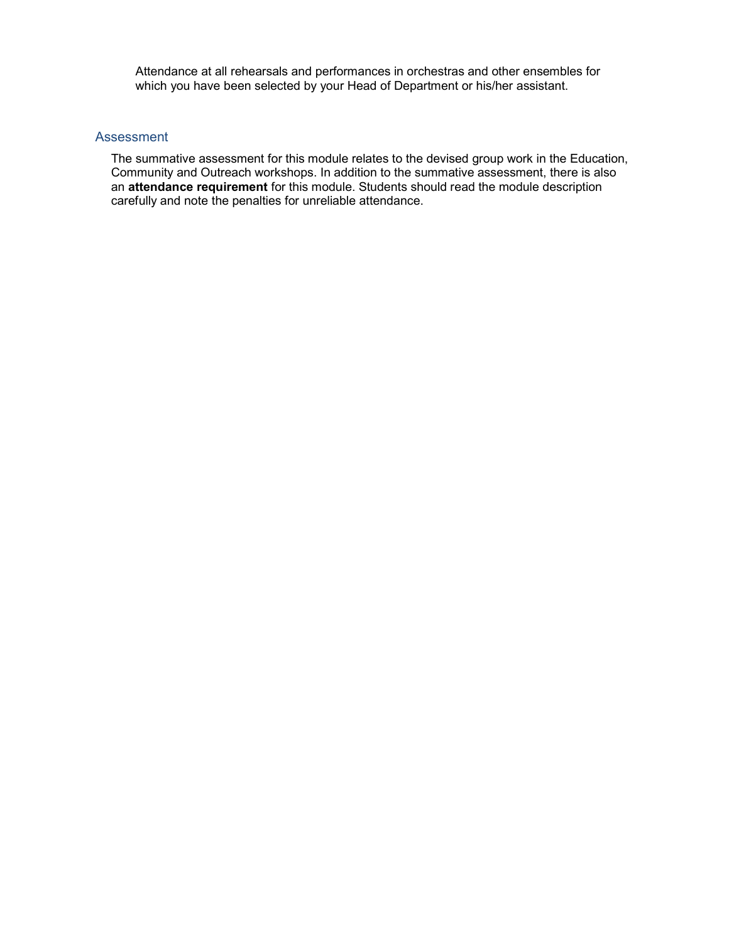Attendance at all rehearsals and performances in orchestras and other ensembles for which you have been selected by your Head of Department or his/her assistant.

#### Assessment

The summative assessment for this module relates to the devised group work in the Education, Community and Outreach workshops. In addition to the summative assessment, there is also an attendance requirement for this module. Students should read the module description carefully and note the penalties for unreliable attendance.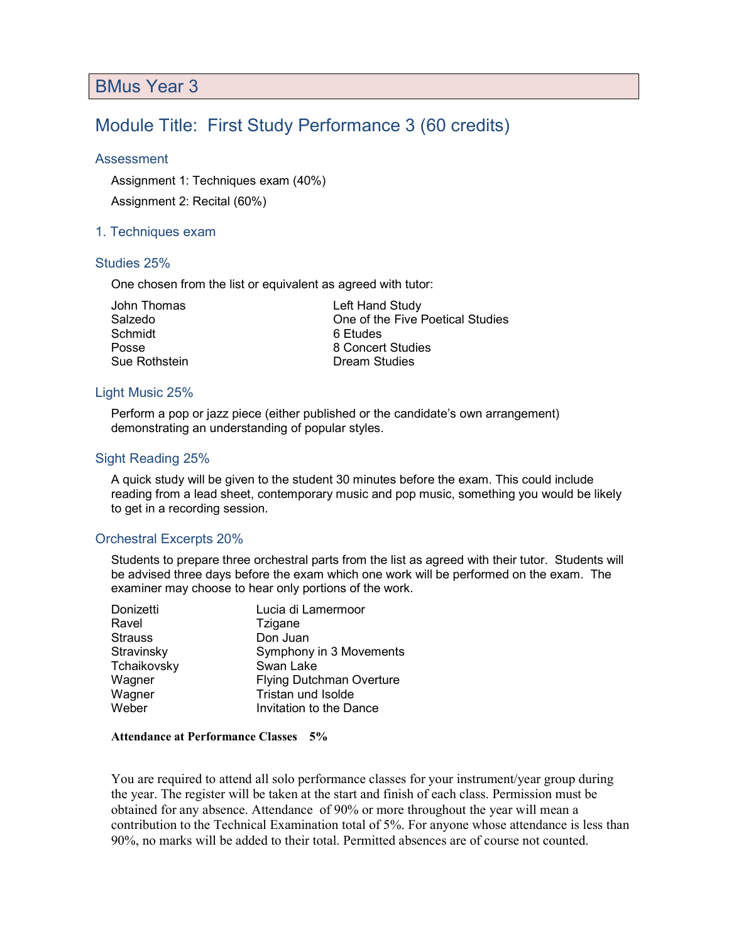### BMus Year 3

### Module Title: First Study Performance 3 (60 credits)

#### Assessment

Assignment 1: Techniques exam (40%)

Assignment 2: Recital (60%)

#### 1. Techniques exam

#### Studies 25%

One chosen from the list or equivalent as agreed with tutor:

| John Thomas          |  |
|----------------------|--|
| Salzedo              |  |
| Schmidt              |  |
| Posse                |  |
| <b>Sue Rothstein</b> |  |

Left Hand Study One of the Five Poetical Studies 6 Etudes 8 Concert Studies Dream Studies

#### Light Music 25%

Perform a pop or jazz piece (either published or the candidate's own arrangement) demonstrating an understanding of popular styles.

#### Sight Reading 25%

A quick study will be given to the student 30 minutes before the exam. This could include reading from a lead sheet, contemporary music and pop music, something you would be likely to get in a recording session.

#### Orchestral Excerpts 20%

Students to prepare three orchestral parts from the list as agreed with their tutor. Students will be advised three days before the exam which one work will be performed on the exam. The examiner may choose to hear only portions of the work.

| Donizetti      | Lucia di Lamermoor              |
|----------------|---------------------------------|
| Ravel          | Tzigane                         |
| <b>Strauss</b> | Don Juan                        |
| Stravinsky     | Symphony in 3 Movements         |
| Tchaikovsky    | Swan Lake                       |
| Wagner         | <b>Flying Dutchman Overture</b> |
| Wagner         | Tristan und Isolde              |
| Weber          | Invitation to the Dance         |

#### Attendance at Performance Classes 5%

You are required to attend all solo performance classes for your instrument/year group during the year. The register will be taken at the start and finish of each class. Permission must be obtained for any absence. Attendance of 90% or more throughout the year will mean a contribution to the Technical Examination total of 5%. For anyone whose attendance is less than 90%, no marks will be added to their total. Permitted absences are of course not counted.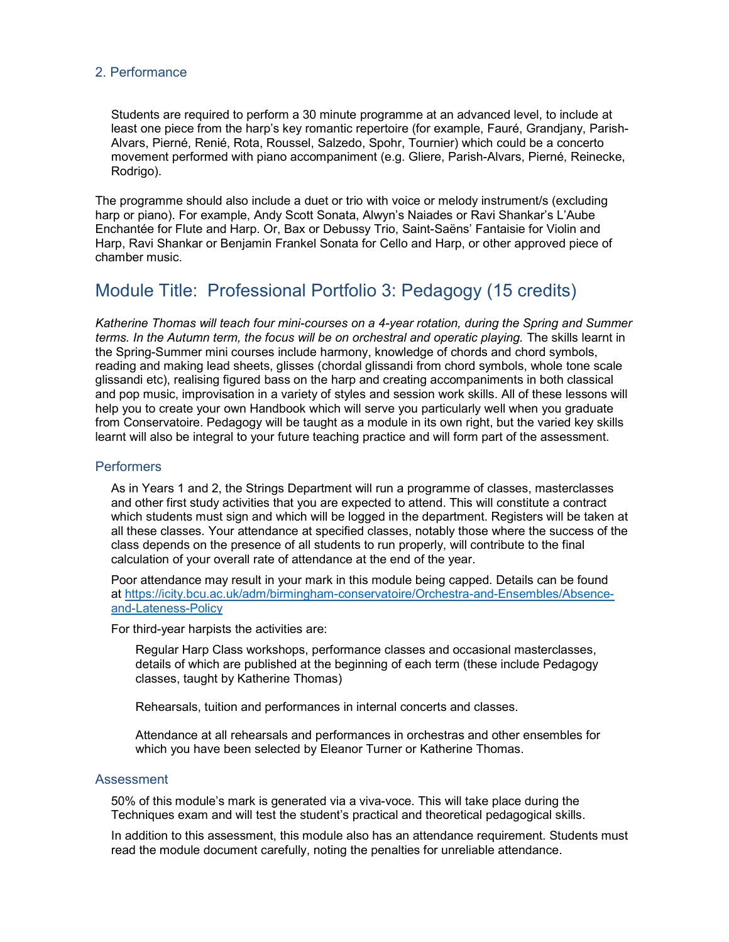#### 2. Performance

Students are required to perform a 30 minute programme at an advanced level, to include at least one piece from the harp's key romantic repertoire (for example, Fauré, Grandjany, Parish-Alvars, Pierné, Renié, Rota, Roussel, Salzedo, Spohr, Tournier) which could be a concerto movement performed with piano accompaniment (e.g. Gliere, Parish-Alvars, Pierné, Reinecke, Rodrigo).

The programme should also include a duet or trio with voice or melody instrument/s (excluding harp or piano). For example, Andy Scott Sonata, Alwyn's Naiades or Ravi Shankar's L'Aube Enchantée for Flute and Harp. Or, Bax or Debussy Trio, Saint-Saëns' Fantaisie for Violin and Harp, Ravi Shankar or Benjamin Frankel Sonata for Cello and Harp, or other approved piece of chamber music.

### Module Title: Professional Portfolio 3: Pedagogy (15 credits)

Katherine Thomas will teach four mini-courses on a 4-year rotation, during the Spring and Summer terms. In the Autumn term, the focus will be on orchestral and operatic playing. The skills learnt in the Spring-Summer mini courses include harmony, knowledge of chords and chord symbols, reading and making lead sheets, glisses (chordal glissandi from chord symbols, whole tone scale glissandi etc), realising figured bass on the harp and creating accompaniments in both classical and pop music, improvisation in a variety of styles and session work skills. All of these lessons will help you to create your own Handbook which will serve you particularly well when you graduate from Conservatoire. Pedagogy will be taught as a module in its own right, but the varied key skills learnt will also be integral to your future teaching practice and will form part of the assessment.

#### **Performers**

As in Years 1 and 2, the Strings Department will run a programme of classes, masterclasses and other first study activities that you are expected to attend. This will constitute a contract which students must sign and which will be logged in the department. Registers will be taken at all these classes. Your attendance at specified classes, notably those where the success of the class depends on the presence of all students to run properly, will contribute to the final calculation of your overall rate of attendance at the end of the year.

Poor attendance may result in your mark in this module being capped. Details can be found at https://icity.bcu.ac.uk/adm/birmingham-conservatoire/Orchestra-and-Ensembles/Absenceand-Lateness-Policy

For third-year harpists the activities are:

Regular Harp Class workshops, performance classes and occasional masterclasses, details of which are published at the beginning of each term (these include Pedagogy classes, taught by Katherine Thomas)

Rehearsals, tuition and performances in internal concerts and classes.

Attendance at all rehearsals and performances in orchestras and other ensembles for which you have been selected by Eleanor Turner or Katherine Thomas.

#### **Assessment**

50% of this module's mark is generated via a viva-voce. This will take place during the Techniques exam and will test the student's practical and theoretical pedagogical skills.

In addition to this assessment, this module also has an attendance requirement. Students must read the module document carefully, noting the penalties for unreliable attendance.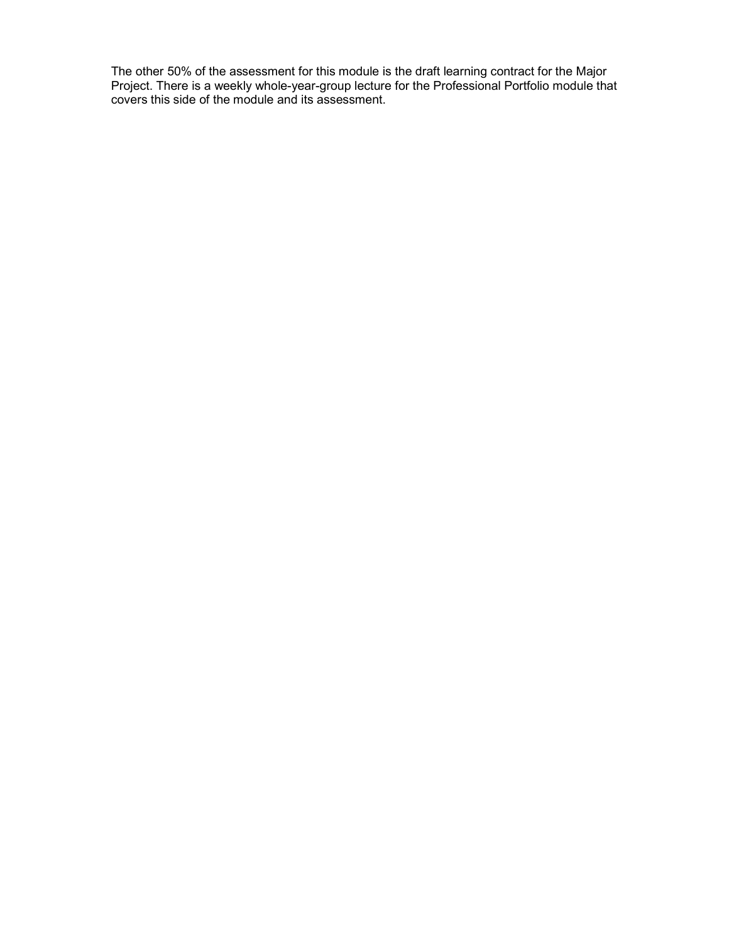The other 50% of the assessment for this module is the draft learning contract for the Major Project. There is a weekly whole-year-group lecture for the Professional Portfolio module that covers this side of the module and its assessment.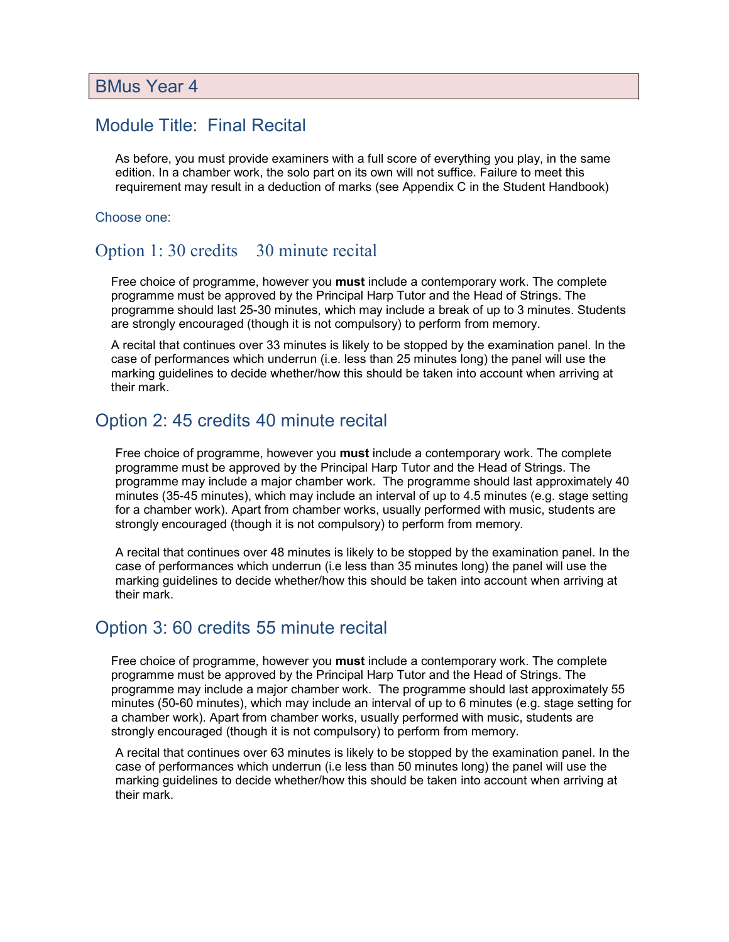### Module Title: Final Recital

As before, you must provide examiners with a full score of everything you play, in the same edition. In a chamber work, the solo part on its own will not suffice. Failure to meet this requirement may result in a deduction of marks (see Appendix C in the Student Handbook)

#### Choose one:

### Option 1:30 credits 30 minute recital

Free choice of programme, however you **must** include a contemporary work. The complete programme must be approved by the Principal Harp Tutor and the Head of Strings. The programme should last 25-30 minutes, which may include a break of up to 3 minutes. Students are strongly encouraged (though it is not compulsory) to perform from memory.

A recital that continues over 33 minutes is likely to be stopped by the examination panel. In the case of performances which underrun (i.e. less than 25 minutes long) the panel will use the marking guidelines to decide whether/how this should be taken into account when arriving at their mark.

### Option 2: 45 credits 40 minute recital

Free choice of programme, however you **must** include a contemporary work. The complete programme must be approved by the Principal Harp Tutor and the Head of Strings. The programme may include a major chamber work. The programme should last approximately 40 minutes (35-45 minutes), which may include an interval of up to 4.5 minutes (e.g. stage setting for a chamber work). Apart from chamber works, usually performed with music, students are strongly encouraged (though it is not compulsory) to perform from memory.

A recital that continues over 48 minutes is likely to be stopped by the examination panel. In the case of performances which underrun (i.e less than 35 minutes long) the panel will use the marking guidelines to decide whether/how this should be taken into account when arriving at their mark.

### Option 3: 60 credits 55 minute recital

Free choice of programme, however you **must** include a contemporary work. The complete programme must be approved by the Principal Harp Tutor and the Head of Strings. The programme may include a major chamber work. The programme should last approximately 55 minutes (50-60 minutes), which may include an interval of up to 6 minutes (e.g. stage setting for a chamber work). Apart from chamber works, usually performed with music, students are strongly encouraged (though it is not compulsory) to perform from memory.

A recital that continues over 63 minutes is likely to be stopped by the examination panel. In the case of performances which underrun (i.e less than 50 minutes long) the panel will use the marking guidelines to decide whether/how this should be taken into account when arriving at their mark.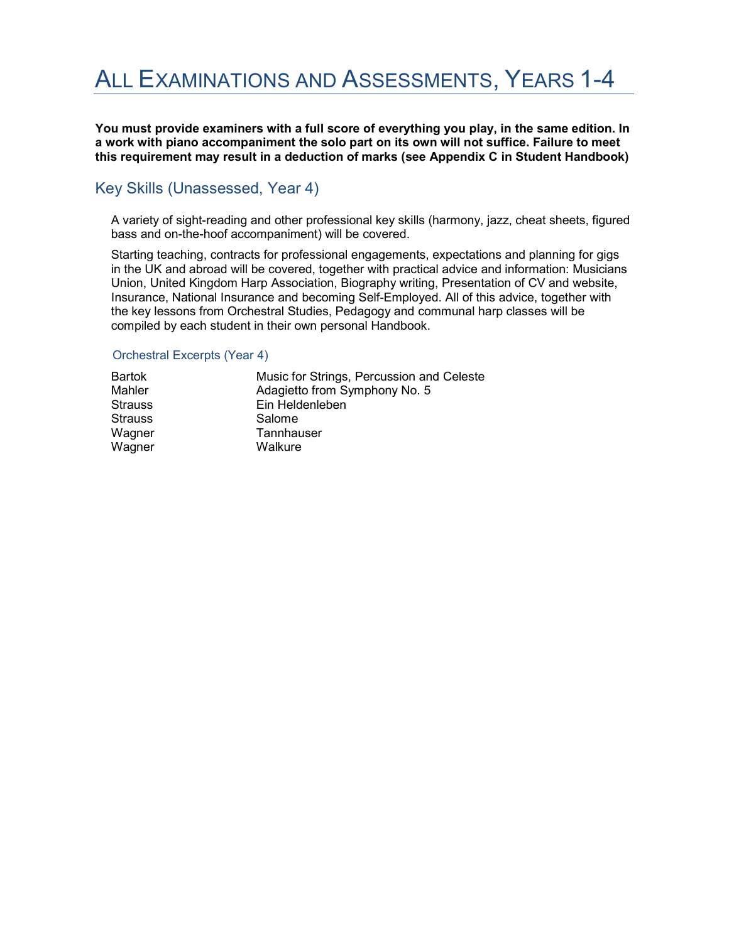## ALL EXAMINATIONS AND ASSESSMENTS, YEARS 1-4

You must provide examiners with a full score of everything you play, in the same edition. In a work with piano accompaniment the solo part on its own will not suffice. Failure to meet this requirement may result in a deduction of marks (see Appendix C in Student Handbook)

### Key Skills (Unassessed, Year 4)

A variety of sight-reading and other professional key skills (harmony, jazz, cheat sheets, figured bass and on-the-hoof accompaniment) will be covered.

Starting teaching, contracts for professional engagements, expectations and planning for gigs in the UK and abroad will be covered, together with practical advice and information: Musicians Union, United Kingdom Harp Association, Biography writing, Presentation of CV and website, Insurance, National Insurance and becoming Self-Employed. All of this advice, together with the key lessons from Orchestral Studies, Pedagogy and communal harp classes will be compiled by each student in their own personal Handbook.

#### Orchestral Excerpts (Year 4)

| Bartok         | Music for Strings, Percussion and Celeste |
|----------------|-------------------------------------------|
| Mahler         | Adagietto from Symphony No. 5             |
| <b>Strauss</b> | Ein Heldenleben                           |
| <b>Strauss</b> | Salome                                    |
| Wagner         | Tannhauser                                |
| Wagner         | Walkure                                   |